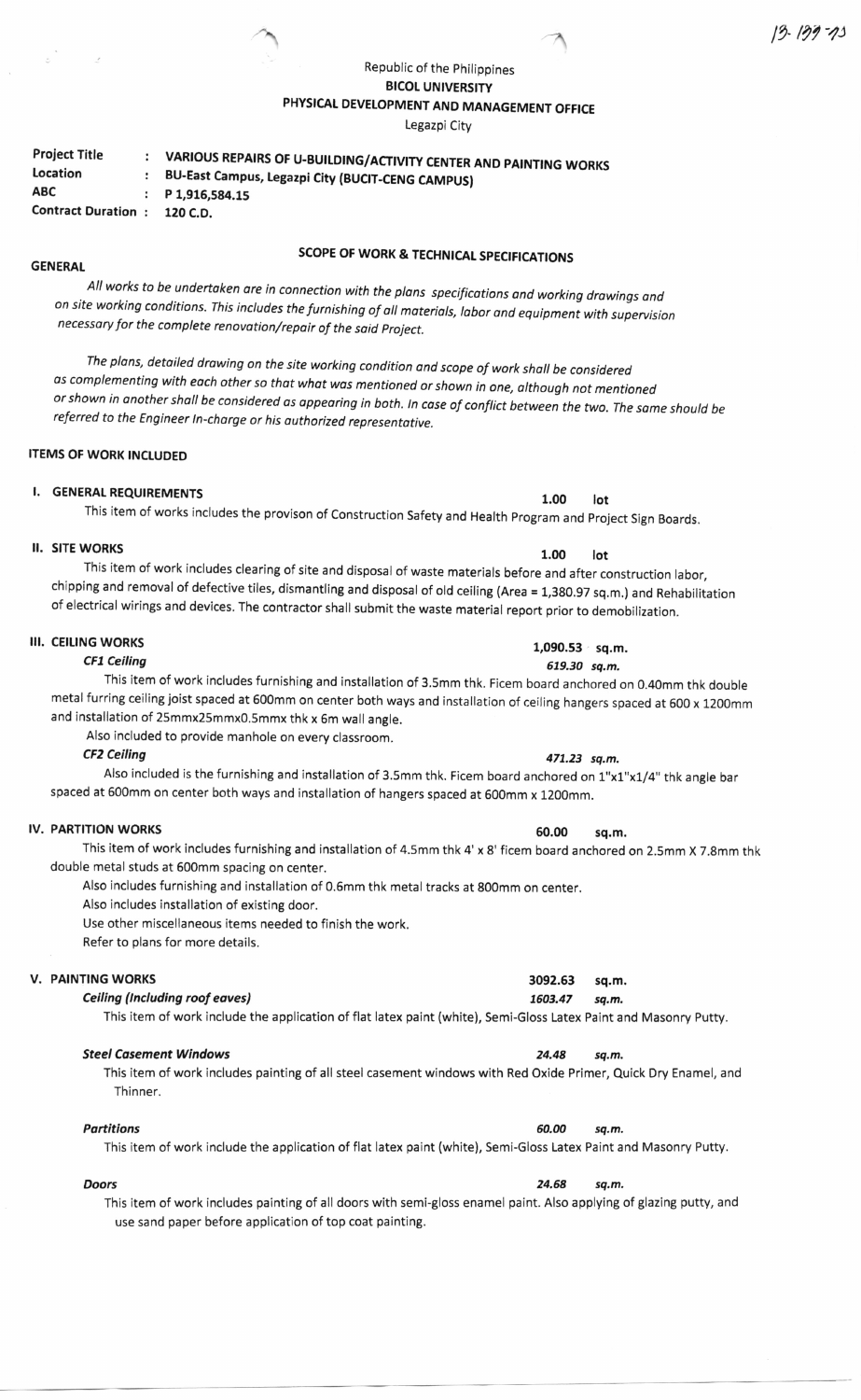## Republic of the philippines **BICOL UNIVERSITY** PHYSICAL DEVELOPMENT AND MANAGEMENT OFFICE

Legazpi City

| <b>Project Title</b>      | VARIOUS REPAIRS OF U-BUILDING/ACTIVITY CENTER AND PAINTING WORKS |
|---------------------------|------------------------------------------------------------------|
| Location                  | BU-East Campus, Legazpi City (BUCIT-CENG CAMPUS)                 |
| <b>ABC</b>                | $P_1, 916, 584, 15$                                              |
| <b>Contract Duration:</b> | 120 C.D.                                                         |

 $\lambda$ 

## SCOPE OF WORK & TECHNICAL SPECIFICATIONS

All works to be undertoken ore in connection with the plans specificotions ond working drowings ond on site working conditions. This includes the furnishing of all materials, labor and equipment with supervision necessory for the complete renovotion/repair of the said project.

The plans, detailed drawing on the site working condition and scope of work shall be considered os complementing with eoch other so thot whot wos mentioned or shown in one, although not mentioned or shown in another shall be considered as appearing in both. In case of conflict between the two. The same should be<br>referred to the Engineer In-charge or his authorized representative.

### **ITEMS OF WORK INCLUDED**

# I. GENERAL REQUIREMENTS<br>
This is a set of the set of the set of the set of the set of the set of the set of the set of the set of the

This item of works includes the provison of construction safety and Health program and project sign Boards.

# $\blacksquare$  il. Site works that the state of  $\blacksquare$  is the state of  $\blacksquare$  is the state of  $\blacksquare$  in the state of  $\blacksquare$  is the state of  $\blacksquare$  is the state of  $\blacksquare$  is the state of  $\blacksquare$  is the state of  $\blacksquare$  is the state

**GENERAL** 

This item of work includes clearing of site and disposal of waste materials before and after construction labor, chipping and removal of defective tiles, dismantling and disposal of old ceiling (Area = 1,3g0.97 sq.m,) and Rehabilitation of electrical wirings and devices. The contractor shall submit the waste material report prior to demobilization.

### **III. CEILING WORKS**

CFI Ceiling

This item of work includes furnishing and installation of 3.5mm thk. Ficem board anchored on 0.40mm thk double metal furring ceiling joist spaced at 500mm on center both ways and installation of ceiling hangers spaced at 600 x 1200mm and installation of 25mmx25mmx0,5mmx thk x 6m wall angle.

Also included to provide manhole on every classroom.

CF2 Ceiling 471.23 sq.m.

Also included is the furnishing and installation of 3.5mm thk. Ficem board anchored on 1"x1"x1/4" thk angle bar spaced at 600mm on center both ways and installation of hangers spaced at 500mm x 1200mm.

## IV. PARTITION WORKS 60.00 sq.m.

This item of work includes furnishing and installation of 4.5mm thk 4' x 8' ficem board anchored on 2.5mm X 7.8mm thk double metal studs at 500mm spacing on center.

Also includes furnishing and installation of 0.5mm thk metal tracks at 800mm on center.

Also includes installation of existing door.

Use other miscellaneous items needed to finish the work.

Refer to plans for more details.

### V. PAINTING WORKS

#### Celling (lncluding roof eoves)

This item of work include the application of flat latex paint (white), Semi-Gloss Latex Paint and Masonry Putty.

#### Steel Casement Windows 24.48 sq.m.

This item of work includes painting of all steel casement windows with Red Oxide Primer, Quick Dry Enamel, and Thinner.

### Partitions sq.m.

This item of work include the application of flat latex paint (white), Semi-Gloss Latex Paint and Masonry Putty.

**Doors** 24.68 sq.m. This item of work includes painting of all doors with semi-gloss enamel paint. Also applying of glazing putty, and use sand paper before application of top coat painting.

1,090.53 sq.m. 579.30 sq.m.

### 3092.53 sq.m. 7603.47 sq.m.